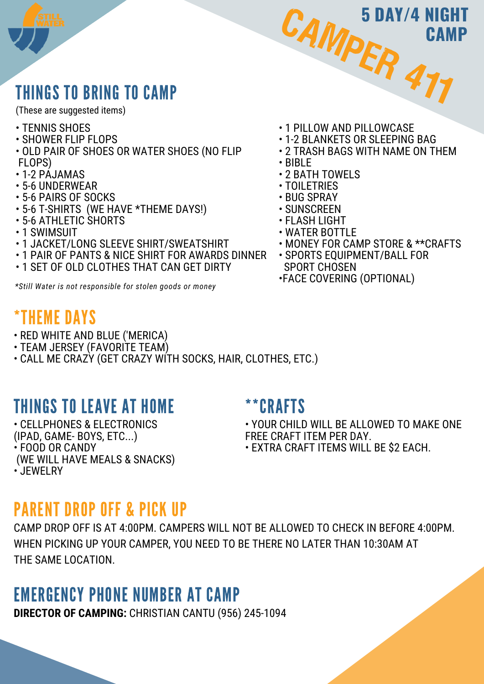# THINGS TO BRING TO CAMP

(These are suggested items)

- TENNIS SHOES
- SHOWER FLIP FLOPS
- OLD PAIR OF SHOES OR WATER SHOES (NO FLIP FLOPS)
- 1-2 PAJAMAS
- 5-6 UNDERWEAR
- 5-6 PAIRS OF SOCKS
- 5-6 T-SHIRTS (WE HAVE \*THEME DAYS!)
- 5-6 ATHLETIC SHORTS
- 1 SWIMSUIT
- 1 JACKET/LONG SLEEVE SHIRT/SWEATSHIRT
- 1 PAIR OF PANTS & NICE SHIRT FOR AWARDS DINNER
- 1 SET OF OLD CLOTHES THAT CAN GET DIRTY

*\*Still Water is not responsible for stolen goods or money*

## \*THEME DAYS

- RED WHITE AND BLUE ('MERICA)
- TEAM JERSEY (FAVORITE TEAM)
- CALL ME CRAZY (GET CRAZY WITH SOCKS, HAIR, CLOTHES, ETC.)

# THINGS TO LEAVE AT HOME

• CELLPHONES & ELECTRONICS (IPAD, GAME- BOYS, ETC...) • FOOD OR CANDY (WE WILL HAVE MEALS & SNACKS) • JEWELRY

### \*\*CRAFTS

• YOUR CHILD WILL BE ALLOWED TO MAKE ONE FREE CRAFT ITEM PER DAY.

• EXTRA CRAFT ITEMS WILL BE \$2 EACH.

## PARENT DROP OFF & PICK UP

CAMP DROP OFF IS AT 4:00PM. CAMPERS WILL NOT BE ALLOWED TO CHECK IN BEFORE 4:00PM. WHEN PICKING UP YOUR CAMPER, YOU NEED TO BE THERE NO LATER THAN 10:30AM AT THE SAME LOCATION.

## EMERGENCY PHONE NUMBER AT CAMP

**DIRECTOR OF CAMPING:** CHRISTIAN CANTU (956) 245-1094

• 1 PILLOW AND PILLOWCASE

CAMPER

- 1-2 BLANKETS OR SLEEPING BAG
- 2 TRASH BAGS WITH NAME ON THEM

477

**CAMP**

**5 DAY/4 NIGHT**

- BIBLE
- 2 BATH TOWELS
- TOILETRIES
- BUG SPRAY
- SUNSCREEN
- FLASH LIGHT
- WATER BOTTLE
- MONEY FOR CAMP STORE & \*\*CRAFTS
- SPORTS EQUIPMENT/BALL FOR SPORT CHOSEN
- •FACE COVERING (OPTIONAL)